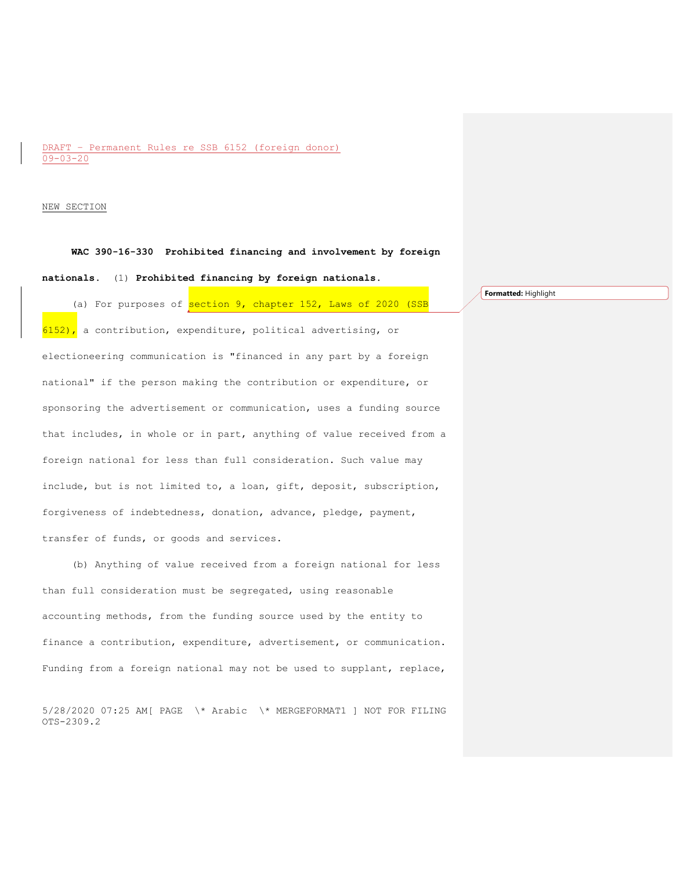## DRAFT – Permanent Rules re SSB 6152 (foreign donor) 09-03-20

#### NEW SECTION

**WAC 390-16-330 Prohibited financing and involvement by foreign** 

#### **nationals.** (1) **Prohibited financing by foreign nationals.**

(a) For purposes of section 9, chapter 152, Laws of 2020 (SSB  $6152$ ), a contribution, expenditure, political advertising, or electioneering communication is "financed in any part by a foreign national" if the person making the contribution or expenditure, or sponsoring the advertisement or communication, uses a funding source that includes, in whole or in part, anything of value received from a foreign national for less than full consideration. Such value may include, but is not limited to, a loan, gift, deposit, subscription, forgiveness of indebtedness, donation, advance, pledge, payment, transfer of funds, or goods and services.

(b) Anything of value received from a foreign national for less than full consideration must be segregated, using reasonable accounting methods, from the funding source used by the entity to finance a contribution, expenditure, advertisement, or communication. Funding from a foreign national may not be used to supplant, replace,

5/28/2020 07:25 AM[ PAGE \\* Arabic \\* MERGEFORMAT1 ] NOT FOR FILING OTS-2309.2

**Formatted:** Highlight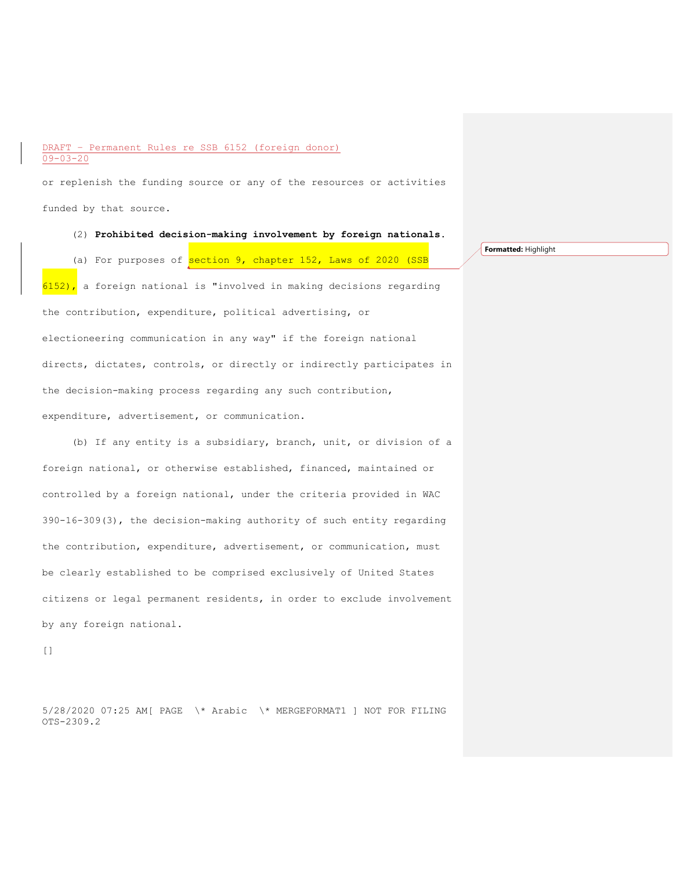## DRAFT – Permanent Rules re SSB 6152 (foreign donor) 09-03-20

or replenish the funding source or any of the resources or activities funded by that source.

(2) **Prohibited decision-making involvement by foreign nationals.**

(a) For purposes of section 9, chapter 152, Laws of 2020 (SSB

**Formatted:** Highlight

 $6152$ ), a foreign national is "involved in making decisions regarding the contribution, expenditure, political advertising, or electioneering communication in any way" if the foreign national directs, dictates, controls, or directly or indirectly participates in the decision-making process regarding any such contribution, expenditure, advertisement, or communication.

(b) If any entity is a subsidiary, branch, unit, or division of a foreign national, or otherwise established, financed, maintained or controlled by a foreign national, under the criteria provided in WAC 390-16-309(3), the decision-making authority of such entity regarding the contribution, expenditure, advertisement, or communication, must be clearly established to be comprised exclusively of United States citizens or legal permanent residents, in order to exclude involvement by any foreign national.

[]

5/28/2020 07:25 AM[ PAGE \\* Arabic \\* MERGEFORMAT1 ] NOT FOR FILING OTS-2309.2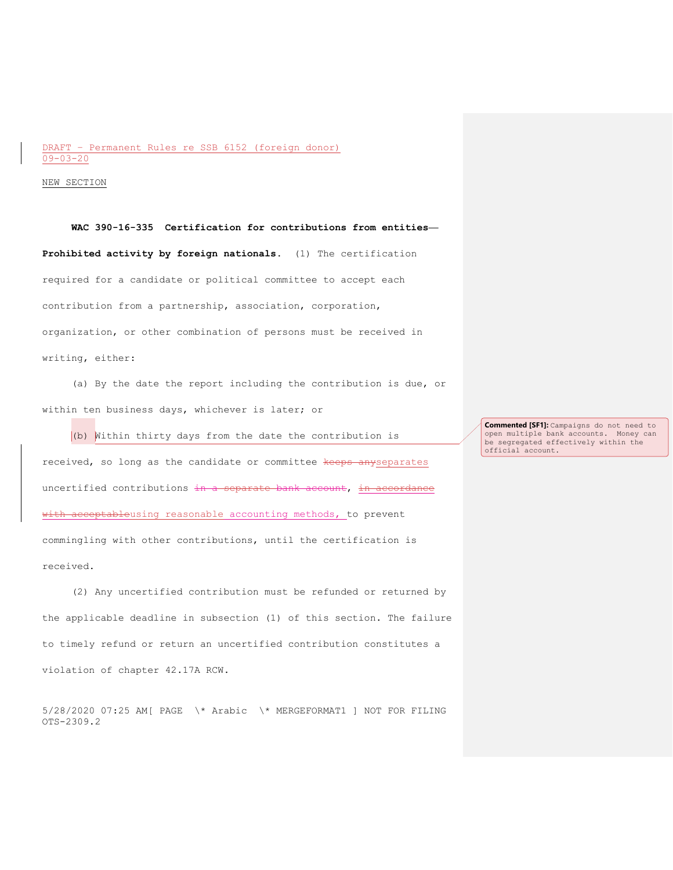## DRAFT – Permanent Rules re SSB 6152 (foreign donor) 09-03-20

NEW SECTION

**WAC 390-16-335 Certification for contributions from entities— Prohibited activity by foreign nationals.** (1) The certification required for a candidate or political committee to accept each contribution from a partnership, association, corporation, organization, or other combination of persons must be received in writing, either:

(a) By the date the report including the contribution is due, or within ten business days, whichever is later; or

(b) Within thirty days from the date the contribution is received, so long as the candidate or committee keeps anyseparates uncertified contributions in a separate bank account, in accordance with acceptableusing reasonable accounting methods, to prevent commingling with other contributions, until the certification is received.

(2) Any uncertified contribution must be refunded or returned by the applicable deadline in subsection (1) of this section. The failure to timely refund or return an uncertified contribution constitutes a violation of chapter 42.17A RCW.

5/28/2020 07:25 AM[ PAGE \\* Arabic \\* MERGEFORMAT1 ] NOT FOR FILING OTS-2309.2

**Commented [SF1]:** Campaigns do not need to open multiple bank accounts. Money can be segregated effectively within the official account.